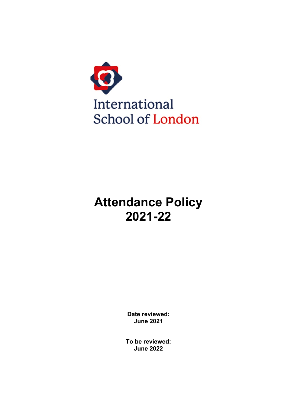

# **Attendance Policy 2021-22**

**Date reviewed: June 2021**

**To be reviewed: June 2022**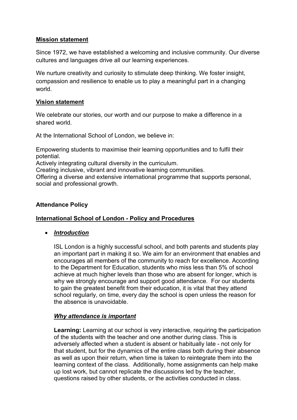# **Mission statement**

Since 1972, we have established a welcoming and inclusive community. Our diverse cultures and languages drive all our learning experiences.

We nurture creativity and curiosity to stimulate deep thinking. We foster insight, compassion and resilience to enable us to play a meaningful part in a changing world.

## **Vision statement**

We celebrate our stories, our worth and our purpose to make a difference in a shared world.

At the International School of London, we believe in: 

Empowering students to maximise their learning opportunities and to fulfil their potential. 

Actively integrating cultural diversity in the curriculum. 

Creating inclusive, vibrant and innovative learning communities. 

Offering a diverse and extensive international programme that supports personal, social and professional growth.

# **Attendance Policy**

# **International School of London - Policy and Procedures**

## • *Introduction*

ISL London is a highly successful school, and both parents and students play an important part in making it so. We aim for an environment that enables and encourages all members of the community to reach for excellence. According to the Department for Education, students who miss less than 5% of school achieve at much higher levels than those who are absent for longer, which is why we strongly encourage and support good attendance. For our students to gain the greatest benefit from their education, it is vital that they attend school regularly, on time, every day the school is open unless the reason for the absence is unavoidable.

## *Why attendance is important*

**Learning:** Learning at our school is very interactive, requiring the participation of the students with the teacher and one another during class. This is adversely affected when a student is absent or habitually late - not only for that student, but for the dynamics of the entire class both during their absence as well as upon their return, when time is taken to reintegrate them into the learning context of the class. Additionally, home assignments can help make up lost work, but cannot replicate the discussions led by the teacher, questions raised by other students, or the activities conducted in class.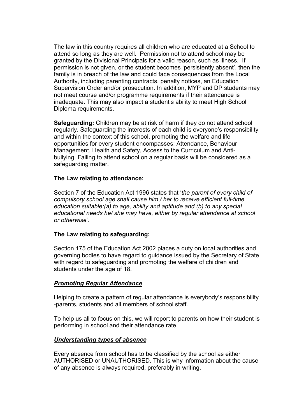The law in this country requires all children who are educated at a School to attend so long as they are well. Permission not to attend school may be granted by the Divisional Principals for a valid reason, such as illness. If permission is not given, or the student becomes 'persistently absent', then the family is in breach of the law and could face consequences from the Local Authority, including parenting contracts, penalty notices, an Education Supervision Order and/or prosecution. In addition, MYP and DP students may not meet course and/or programme requirements if their attendance is inadequate. This may also impact a student's ability to meet High School Diploma requirements.

**Safeguarding:** Children may be at risk of harm if they do not attend school regularly. Safeguarding the interests of each child is everyone's responsibility and within the context of this school, promoting the welfare and life opportunities for every student encompasses: Attendance, Behaviour Management, Health and Safety, Access to the Curriculum and Antibullying. Failing to attend school on a regular basis will be considered as a safeguarding matter.

## **The Law relating to attendance:**

Section 7 of the Education Act 1996 states that '*the parent of every child of compulsory school age shall cause him / her to receive efficient full-time education suitable:(a) to age, ability and aptitude and (b) to any special educational needs he/ she may have, either by regular attendance at school or otherwise'.*

#### **The Law relating to safeguarding:**

Section 175 of the Education Act 2002 places a duty on local authorities and governing bodies to have regard to guidance issued by the Secretary of State with regard to safeguarding and promoting the welfare of children and students under the age of 18.

#### *Promoting Regular Attendance*

Helping to create a pattern of regular attendance is everybody's responsibility -parents, students and all members of school staff.

To help us all to focus on this, we will report to parents on how their student is performing in school and their attendance rate.

#### *Understanding types of absence*

Every absence from school has to be classified by the school as either AUTHORISED or UNAUTHORISED. This is why information about the cause of any absence is always required, preferably in writing.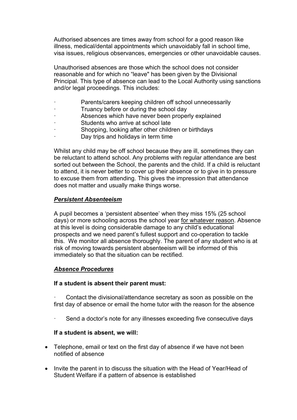Authorised absences are times away from school for a good reason like illness, medical/dental appointments which unavoidably fall in school time, visa issues, religious observances, emergencies or other unavoidable causes.

Unauthorised absences are those which the school does not consider reasonable and for which no "leave" has been given by the Divisional Principal. This type of absence can lead to the Local Authority using sanctions and/or legal proceedings. This includes:

- Parents/carers keeping children off school unnecessarily
- Truancy before or during the school day
- Absences which have never been properly explained
- Students who arrive at school late
- Shopping, looking after other children or birthdays
- Day trips and holidays in term time

Whilst any child may be off school because they are ill, sometimes they can be reluctant to attend school. Any problems with regular attendance are best sorted out between the School, the parents and the child. If a child is reluctant to attend, it is never better to cover up their absence or to give in to pressure to excuse them from attending. This gives the impression that attendance does not matter and usually make things worse.

# *Persistent Absenteeism*

A pupil becomes a 'persistent absentee' when they miss 15% (25 school days) or more schooling across the school year for whatever reason. Absence at this level is doing considerable damage to any child's educational prospects and we need parent's fullest support and co-operation to tackle this. We monitor all absence thoroughly. The parent of any student who is at risk of moving towards persistent absenteeism will be informed of this immediately so that the situation can be rectified.

# *Absence Procedures*

## **If a student is absent their parent must:**

Contact the divisional/attendance secretary as soon as possible on the first day of absence or email the home tutor with the reason for the absence

Send a doctor's note for any illnesses exceeding five consecutive days

## **If a student is absent, we will:**

- Telephone, email or text on the first day of absence if we have not been notified of absence
- Invite the parent in to discuss the situation with the Head of Year/Head of Student Welfare if a pattern of absence is established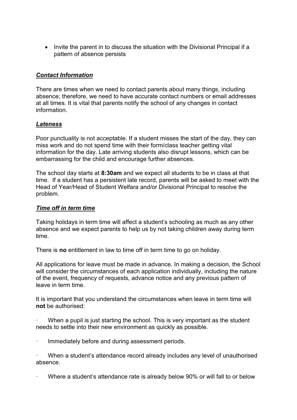• Invite the parent in to discuss the situation with the Divisional Principal if a pattern of absence persists

# *Contact Information*

There are times when we need to contact parents about many things, including absence; therefore, we need to have accurate contact numbers or email addresses at all times. It is vital that parents notify the school of any changes in contact information.

## *Lateness*

Poor punctuality is not acceptable. If a student misses the start of the day, they can miss work and do not spend time with their form/class teacher getting vital information for the day. Late arriving students also disrupt lessons, which can be embarrassing for the child and encourage further absences.

The school day starts at **8:30am** and we expect all students to be in class at that time. If a student has a persistent late record, parents will be asked to meet with the Head of Year/Head of Student Welfara and/or Divisional Principal to resolve the problem.

## *Time off in term time*

Taking holidays in term time will affect a student's schooling as much as any other absence and we expect parents to help us by not taking children away during term time.

There is **no** entitlement in law to time off in term time to go on holiday.

All applications for leave must be made in advance. In making a decision, the School will consider the circumstances of each application individually, including the nature of the event, frequency of requests, advance notice and any previous pattern of leave in term time.

It is important that you understand the circumstances when leave in term time will **not** be authorised:

When a pupil is just starting the school. This is very important as the student needs to settle into their new environment as quickly as possible.

Immediately before and during assessment periods.

When a student's attendance record already includes any level of unauthorised absence.

· Where a student's attendance rate is already below 90% or will fall to or below